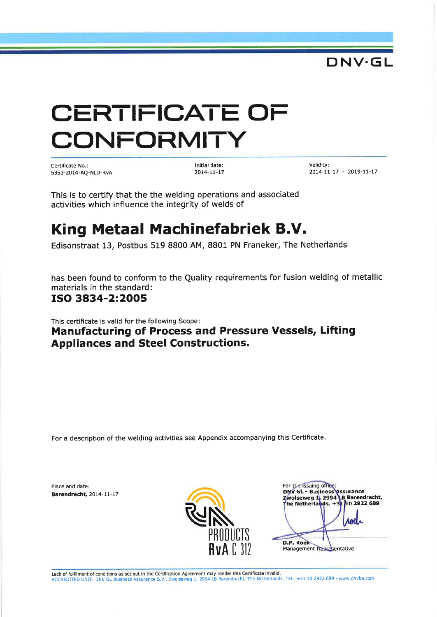# CERTIFICATE OF CONFORMITY

Certificate No.: 5353-20 14-AQ-NLD-RvA Initial date:  $2014 - 11 - 17$ 

Validity: 20r4-t|-t7 - 20t9-lr-17

DNV.GL

This is to certify that the the welding operations and associated activities which influence the integrity of welds of

## King Metaal Machinefabriek B.V.

Edisonstraat 13, Postbus 519 8800 AM, 8801 PN Franeker, The Netherlands

has been found to conform to the Quality requirements for fusion welding of metallic materials in the standard:

#### ISO 3A34-2:2OO5

This certificate is valid for the following Scope:

Manufacturing of Process and Pressure Vessels, Lifting Appliances and Steel Constructions.

For a description of the welding activities see Appendix accompanying this Certificate.

Place and date: Barendrecht, 2014-11-17



For the issuing office:<br>DNV GL - Business  $GL -$ Barendrecht he Netherlands,  $+31110$  2922 689 D.P. Koek Management Representative

Lack of fulfilment of conditions as set out in the Certification Agreement may render this Certificate invalid. ACCREDITED UNIT: DNV GL Business Assurance 8.V,, Zwolseweg 7, 2994 LB Barendrecht, The Netherlands, TEL: +31 LO 2922 689 - www dnvba.com